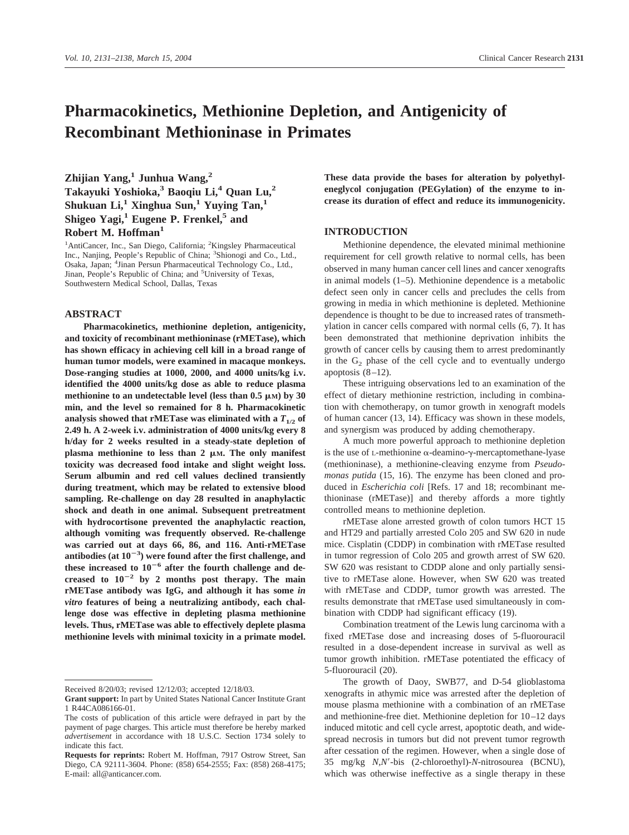# **Pharmacokinetics, Methionine Depletion, and Antigenicity of Recombinant Methioninase in Primates**

**Zhijian Yang,1 Junhua Wang,2 Takayuki Yoshioka,3 Baoqiu Li,4 Quan Lu,2 Shukuan Li,1 Xinghua Sun,1 Yuying Tan,1 Shigeo Yagi,1 Eugene P. Frenkel,5 and Robert M. Hoffman1**

<sup>1</sup>AntiCancer, Inc., San Diego, California; <sup>2</sup>Kingsley Pharmaceutical Inc., Nanjing, People's Republic of China; <sup>3</sup> Shionogi and Co., Ltd., Osaka, Japan; <sup>4</sup> Jinan Persun Pharmaceutical Technology Co., Ltd., Jinan, People's Republic of China; and <sup>5</sup>University of Texas, Southwestern Medical School, Dallas, Texas

## **ABSTRACT**

**Pharmacokinetics, methionine depletion, antigenicity, and toxicity of recombinant methioninase (rMETase), which has shown efficacy in achieving cell kill in a broad range of human tumor models, were examined in macaque monkeys. Dose-ranging studies at 1000, 2000, and 4000 units/kg i.v. identified the 4000 units/kg dose as able to reduce plasma** methionine to an undetectable level (less than  $0.5 \mu M$ ) by  $30$ **min, and the level so remained for 8 h. Pharmacokinetic** analysis showed that rMETase was eliminated with a  $T_{1/2}$  of **2.49 h. A 2-week i.v. administration of 4000 units/kg every 8 h/day for 2 weeks resulted in a steady-state depletion of**  $plasma$  methionine to less than 2  $\mu$ M. The only manifest **toxicity was decreased food intake and slight weight loss. Serum albumin and red cell values declined transiently during treatment, which may be related to extensive blood sampling. Re-challenge on day 28 resulted in anaphylactic shock and death in one animal. Subsequent pretreatment with hydrocortisone prevented the anaphylactic reaction, although vomiting was frequently observed. Re-challenge was carried out at days 66, 86, and 116. Anti-rMETase antibodies (at 10**-**3 ) were found after the first challenge, and these increased to 10**-**<sup>6</sup> after the fourth challenge and de**creased to  $10^{-2}$  by 2 months post therapy. The main **rMETase antibody was IgG, and although it has some** *in vitro* **features of being a neutralizing antibody, each challenge dose was effective in depleting plasma methionine levels. Thus, rMETase was able to effectively deplete plasma methionine levels with minimal toxicity in a primate model.**

**These data provide the bases for alteration by polyethyleneglycol conjugation (PEGylation) of the enzyme to increase its duration of effect and reduce its immunogenicity.**

#### **INTRODUCTION**

Methionine dependence, the elevated minimal methionine requirement for cell growth relative to normal cells, has been observed in many human cancer cell lines and cancer xenografts in animal models (1–5). Methionine dependence is a metabolic defect seen only in cancer cells and precludes the cells from growing in media in which methionine is depleted. Methionine dependence is thought to be due to increased rates of transmethylation in cancer cells compared with normal cells (6, 7). It has been demonstrated that methionine deprivation inhibits the growth of cancer cells by causing them to arrest predominantly in the  $G<sub>2</sub>$  phase of the cell cycle and to eventually undergo apoptosis (8–12).

These intriguing observations led to an examination of the effect of dietary methionine restriction, including in combination with chemotherapy, on tumor growth in xenograft models of human cancer (13, 14). Efficacy was shown in these models, and synergism was produced by adding chemotherapy.

A much more powerful approach to methionine depletion is the use of L-methionine  $\alpha$ -deamino- $\gamma$ -mercaptomethane-lyase (methioninase), a methionine-cleaving enzyme from *Pseudomonas putida* (15, 16). The enzyme has been cloned and produced in *Escherichia coli* [Refs. 17 and 18; recombinant methioninase (rMETase)] and thereby affords a more tightly controlled means to methionine depletion.

rMETase alone arrested growth of colon tumors HCT 15 and HT29 and partially arrested Colo 205 and SW 620 in nude mice. Cisplatin (CDDP) in combination with rMETase resulted in tumor regression of Colo 205 and growth arrest of SW 620. SW 620 was resistant to CDDP alone and only partially sensitive to rMETase alone. However, when SW 620 was treated with rMETase and CDDP, tumor growth was arrested. The results demonstrate that rMETase used simultaneously in combination with CDDP had significant efficacy (19).

Combination treatment of the Lewis lung carcinoma with a fixed rMETase dose and increasing doses of 5-fluorouracil resulted in a dose-dependent increase in survival as well as tumor growth inhibition. rMETase potentiated the efficacy of 5-fluorouracil (20).

The growth of Daoy, SWB77, and D-54 glioblastoma xenografts in athymic mice was arrested after the depletion of mouse plasma methionine with a combination of an rMETase and methionine-free diet. Methionine depletion for 10–12 days induced mitotic and cell cycle arrest, apoptotic death, and widespread necrosis in tumors but did not prevent tumor regrowth after cessation of the regimen. However, when a single dose of 35 mg/kg *N,N*-bis (2-chloroethyl)-*N*-nitrosourea (BCNU), which was otherwise ineffective as a single therapy in these

Received 8/20/03; revised 12/12/03; accepted 12/18/03.

**Grant support:** In part by United States National Cancer Institute Grant 1 R44CA086166-01.

The costs of publication of this article were defrayed in part by the payment of page charges. This article must therefore be hereby marked *advertisement* in accordance with 18 U.S.C. Section 1734 solely to indicate this fact.

**Requests for reprints:** Robert M. Hoffman, 7917 Ostrow Street, San Diego, CA 92111-3604. Phone: (858) 654-2555; Fax: (858) 268-4175; E-mail: all@anticancer.com.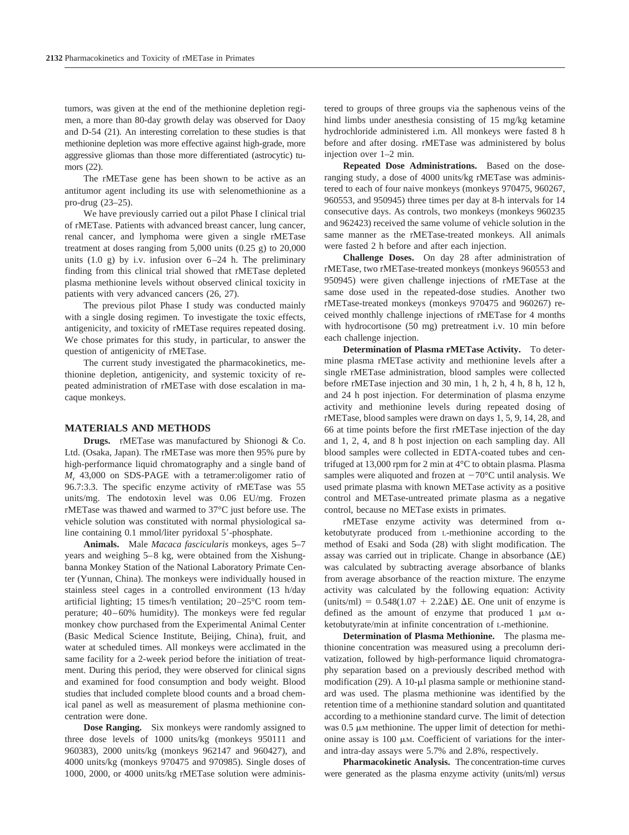tumors, was given at the end of the methionine depletion regimen, a more than 80-day growth delay was observed for Daoy and D-54 (21). An interesting correlation to these studies is that methionine depletion was more effective against high-grade, more aggressive gliomas than those more differentiated (astrocytic) tumors (22).

The rMETase gene has been shown to be active as an antitumor agent including its use with selenomethionine as a pro-drug (23–25).

We have previously carried out a pilot Phase I clinical trial of rMETase. Patients with advanced breast cancer, lung cancer, renal cancer, and lymphoma were given a single rMETase treatment at doses ranging from  $5,000$  units  $(0.25 \text{ g})$  to  $20,000$ units  $(1.0 \text{ g})$  by i.v. infusion over  $6-24$  h. The preliminary finding from this clinical trial showed that rMETase depleted plasma methionine levels without observed clinical toxicity in patients with very advanced cancers (26, 27).

The previous pilot Phase I study was conducted mainly with a single dosing regimen. To investigate the toxic effects, antigenicity, and toxicity of rMETase requires repeated dosing. We chose primates for this study, in particular, to answer the question of antigenicity of rMETase.

The current study investigated the pharmacokinetics, methionine depletion, antigenicity, and systemic toxicity of repeated administration of rMETase with dose escalation in macaque monkeys.

### **MATERIALS AND METHODS**

**Drugs.** rMETase was manufactured by Shionogi & Co. Ltd. (Osaka, Japan). The rMETase was more then 95% pure by high-performance liquid chromatography and a single band of *M*<sup>r</sup> 43,000 on SDS-PAGE with a tetramer:oligomer ratio of 96.7:3.3. The specific enzyme activity of rMETase was 55 units/mg. The endotoxin level was 0.06 EU/mg. Frozen rMETase was thawed and warmed to 37°C just before use. The vehicle solution was constituted with normal physiological saline containing 0.1 mmol/liter pyridoxal 5'-phosphate.

**Animals.** Male *Macaca fascicularis* monkeys, ages 5–7 years and weighing 5–8 kg, were obtained from the Xishungbanna Monkey Station of the National Laboratory Primate Center (Yunnan, China). The monkeys were individually housed in stainless steel cages in a controlled environment (13 h/day artificial lighting; 15 times/h ventilation; 20–25°C room temperature; 40–60% humidity). The monkeys were fed regular monkey chow purchased from the Experimental Animal Center (Basic Medical Science Institute, Beijing, China), fruit, and water at scheduled times. All monkeys were acclimated in the same facility for a 2-week period before the initiation of treatment. During this period, they were observed for clinical signs and examined for food consumption and body weight. Blood studies that included complete blood counts and a broad chemical panel as well as measurement of plasma methionine concentration were done.

**Dose Ranging.** Six monkeys were randomly assigned to three dose levels of 1000 units/kg (monkeys 950111 and 960383), 2000 units/kg (monkeys 962147 and 960427), and 4000 units/kg (monkeys 970475 and 970985). Single doses of 1000, 2000, or 4000 units/kg rMETase solution were administered to groups of three groups via the saphenous veins of the hind limbs under anesthesia consisting of 15 mg/kg ketamine hydrochloride administered i.m. All monkeys were fasted 8 h before and after dosing. rMETase was administered by bolus injection over 1–2 min.

**Repeated Dose Administrations.** Based on the doseranging study, a dose of 4000 units/kg rMETase was administered to each of four naive monkeys (monkeys 970475, 960267, 960553, and 950945) three times per day at 8-h intervals for 14 consecutive days. As controls, two monkeys (monkeys 960235 and 962423) received the same volume of vehicle solution in the same manner as the rMETase-treated monkeys. All animals were fasted 2 h before and after each injection.

**Challenge Doses.** On day 28 after administration of rMETase, two rMETase-treated monkeys (monkeys 960553 and 950945) were given challenge injections of rMETase at the same dose used in the repeated-dose studies. Another two rMETase-treated monkeys (monkeys 970475 and 960267) received monthly challenge injections of rMETase for 4 months with hydrocortisone (50 mg) pretreatment i.v. 10 min before each challenge injection.

**Determination of Plasma rMETase Activity.** To determine plasma rMETase activity and methionine levels after a single rMETase administration, blood samples were collected before rMETase injection and 30 min, 1 h, 2 h, 4 h, 8 h, 12 h, and 24 h post injection. For determination of plasma enzyme activity and methionine levels during repeated dosing of rMETase, blood samples were drawn on days 1, 5, 9, 14, 28, and 66 at time points before the first rMETase injection of the day and 1, 2, 4, and 8 h post injection on each sampling day. All blood samples were collected in EDTA-coated tubes and centrifuged at 13,000 rpm for 2 min at 4°C to obtain plasma. Plasma samples were aliquoted and frozen at  $-70^{\circ}$ C until analysis. We used primate plasma with known METase activity as a positive control and METase-untreated primate plasma as a negative control, because no METase exists in primates.

rMETase enzyme activity was determined from  $\alpha$ ketobutyrate produced from L-methionine according to the method of Esaki and Soda (28) with slight modification. The assay was carried out in triplicate. Change in absorbance  $(\Delta E)$ was calculated by subtracting average absorbance of blanks from average absorbance of the reaction mixture. The enzyme activity was calculated by the following equation: Activity (units/ml) =  $0.548(1.07 + 2.2\Delta E)$   $\Delta E$ . One unit of enzyme is defined as the amount of enzyme that produced 1  $\mu$ M  $\alpha$ ketobutyrate/min at infinite concentration of L-methionine.

**Determination of Plasma Methionine.** The plasma methionine concentration was measured using a precolumn derivatization, followed by high-performance liquid chromatography separation based on a previously described method with modification (29). A 10- $\mu$ l plasma sample or methionine standard was used. The plasma methionine was identified by the retention time of a methionine standard solution and quantitated according to a methionine standard curve. The limit of detection was  $0.5 \mu M$  methionine. The upper limit of detection for methionine assay is  $100 \mu M$ . Coefficient of variations for the interand intra-day assays were 5.7% and 2.8%, respectively.

**Pharmacokinetic Analysis.** The concentration-time curves were generated as the plasma enzyme activity (units/ml) *versus*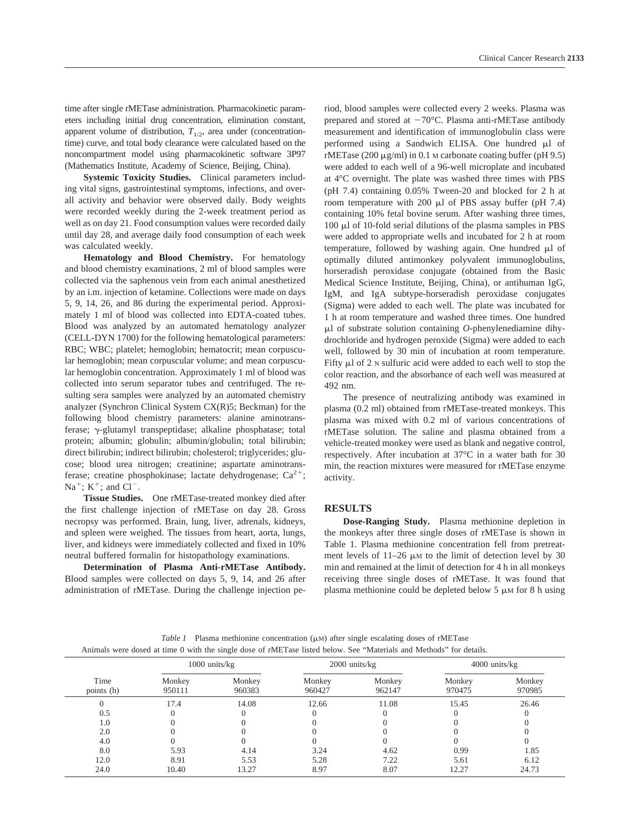time after single rMETase administration. Pharmacokinetic parameters including initial drug concentration, elimination constant, apparent volume of distribution,  $T_{1/2}$ , area under (concentrationtime) curve, and total body clearance were calculated based on the noncompartment model using pharmacokinetic software 3P97 (Mathematics Institute, Academy of Science, Beijing, China).

**Systemic Toxicity Studies.** Clinical parameters including vital signs, gastrointestinal symptoms, infections, and overall activity and behavior were observed daily. Body weights were recorded weekly during the 2-week treatment period as well as on day 21. Food consumption values were recorded daily until day 28, and average daily food consumption of each week was calculated weekly.

**Hematology and Blood Chemistry.** For hematology and blood chemistry examinations, 2 ml of blood samples were collected via the saphenous vein from each animal anesthetized by an i.m. injection of ketamine. Collections were made on days 5, 9, 14, 26, and 86 during the experimental period. Approximately 1 ml of blood was collected into EDTA-coated tubes. Blood was analyzed by an automated hematology analyzer (CELL-DYN 1700) for the following hematological parameters: RBC; WBC; platelet; hemoglobin; hematocrit; mean corpuscular hemoglobin; mean corpuscular volume; and mean corpuscular hemoglobin concentration. Approximately 1 ml of blood was collected into serum separator tubes and centrifuged. The resulting sera samples were analyzed by an automated chemistry analyzer (Synchron Clinical System CX(R)5; Beckman) for the following blood chemistry parameters: alanine aminotransferase; y-glutamyl transpeptidase; alkaline phosphatase; total protein; albumin; globulin; albumin/globulin; total bilirubin; direct bilirubin; indirect bilirubin; cholesterol; triglycerides; glucose; blood urea nitrogen; creatinine; aspartate aminotransferase; creatine phosphokinase; lactate dehydrogenase;  $Ca^{2+}$ ;  $Na^+$ ; K<sup>+</sup>; and Cl<sup>-</sup>.

**Tissue Studies.** One rMETase-treated monkey died after the first challenge injection of rMETase on day 28. Gross necropsy was performed. Brain, lung, liver, adrenals, kidneys, and spleen were weighed. The tissues from heart, aorta, lungs, liver, and kidneys were immediately collected and fixed in 10% neutral buffered formalin for histopathology examinations.

**Determination of Plasma Anti-rMETase Antibody.** Blood samples were collected on days 5, 9, 14, and 26 after administration of rMETase. During the challenge injection period, blood samples were collected every 2 weeks. Plasma was prepared and stored at  $-70^{\circ}$ C. Plasma anti-rMETase antibody measurement and identification of immunoglobulin class were performed using a Sandwich ELISA. One hundred  $\mu$ l of rMETase (200  $\mu$ g/ml) in 0.1 M carbonate coating buffer (pH 9.5) were added to each well of a 96-well microplate and incubated at 4°C overnight. The plate was washed three times with PBS (pH 7.4) containing 0.05% Tween-20 and blocked for 2 h at room temperature with 200  $\mu$ l of PBS assay buffer (pH 7.4) containing 10% fetal bovine serum. After washing three times,  $100 \mu l$  of 10-fold serial dilutions of the plasma samples in PBS were added to appropriate wells and incubated for 2 h at room temperature, followed by washing again. One hundred  $\mu$ l of optimally diluted antimonkey polyvalent immunoglobulins, horseradish peroxidase conjugate (obtained from the Basic Medical Science Institute, Beijing, China), or antihuman IgG, IgM, and IgA subtype-horseradish peroxidase conjugates (Sigma) were added to each well. The plate was incubated for 1 h at room temperature and washed three times. One hundred l of substrate solution containing *O*-phenylenediamine dihydrochloride and hydrogen peroxide (Sigma) were added to each well, followed by 30 min of incubation at room temperature. Fifty  $\mu$ l of 2  $\mu$  sulfuric acid were added to each well to stop the color reaction, and the absorbance of each well was measured at 492 nm.

The presence of neutralizing antibody was examined in plasma (0.2 ml) obtained from rMETase-treated monkeys. This plasma was mixed with 0.2 ml of various concentrations of rMETase solution. The saline and plasma obtained from a vehicle-treated monkey were used as blank and negative control, respectively. After incubation at 37°C in a water bath for 30 min, the reaction mixtures were measured for rMETase enzyme activity.

#### **RESULTS**

**Dose-Ranging Study.** Plasma methionine depletion in the monkeys after three single doses of rMETase is shown in Table 1. Plasma methionine concentration fell from pretreatment levels of  $11-26 \mu M$  to the limit of detection level by 30 min and remained at the limit of detection for 4 h in all monkeys receiving three single doses of rMETase. It was found that plasma methionine could be depleted below  $5 \mu M$  for 8 h using

*Table 1* Plasma methionine concentration  $(\mu M)$  after single escalating doses of rMETase Animals were dosed at time 0 with the single dose of rMETase listed below. See "Materials and Methods" for details.

|                    | $1000$ units/ $kg$ |                  | $2000$ units/ $kg$ |                  | $4000$ units/ $kg$ |                  |
|--------------------|--------------------|------------------|--------------------|------------------|--------------------|------------------|
| Time<br>points (h) | Monkey<br>950111   | Monkey<br>960383 | Monkey<br>960427   | Monkey<br>962147 | Monkey<br>970475   | Monkey<br>970985 |
|                    | 17.4               | 14.08            | 12.66              | 11.08            | 15.45              | 26.46            |
| 0.5                |                    |                  |                    |                  |                    |                  |
| 1.0                |                    |                  |                    |                  |                    |                  |
| 2.0                |                    |                  |                    |                  |                    |                  |
| 4.0                |                    |                  |                    |                  |                    |                  |
| 8.0                | 5.93               | 4.14             | 3.24               | 4.62             | 0.99               | 1.85             |
| 12.0               | 8.91               | 5.53             | 5.28               | 7.22             | 5.61               | 6.12             |
| 24.0               | 10.40              | 13.27            | 8.97               | 8.07             | 12.27              | 24.73            |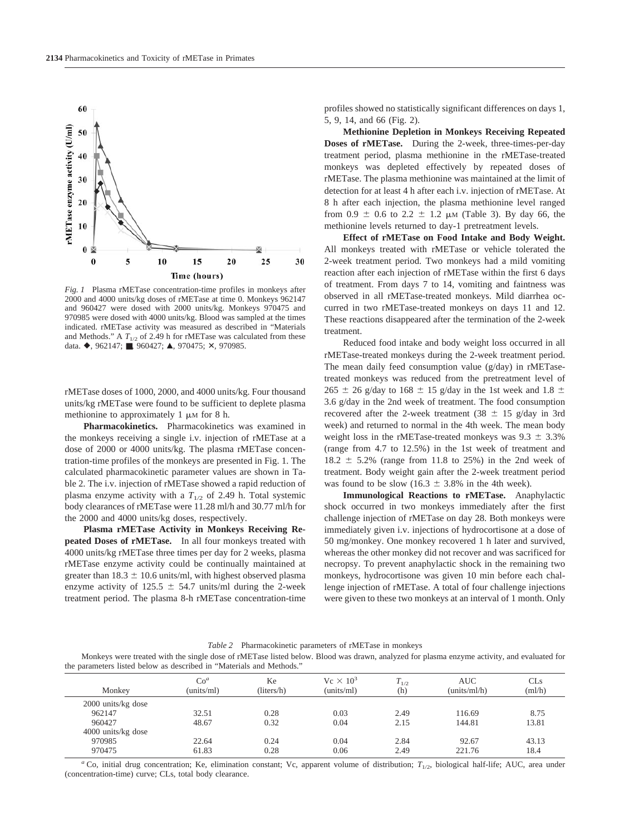

*Fig. 1* Plasma rMETase concentration-time profiles in monkeys after 2000 and 4000 units/kg doses of rMETase at time 0. Monkeys 962147 and 960427 were dosed with 2000 units/kg. Monkeys 970475 and 970985 were dosed with 4000 units/kg. Blood was sampled at the times indicated. rMETase activity was measured as described in "Materials and Methods." A  $T_{1/2}$  of 2.49 h for rMETase was calculated from these data.  $\blacklozenge$ , 962147; **■**, 960427; **△**, 970475; **×**, 970985.

rMETase doses of 1000, 2000, and 4000 units/kg. Four thousand units/kg rMETase were found to be sufficient to deplete plasma methionine to approximately 1  $\mu$ M for 8 h.

**Pharmacokinetics.** Pharmacokinetics was examined in the monkeys receiving a single i.v. injection of rMETase at a dose of 2000 or 4000 units/kg. The plasma rMETase concentration-time profiles of the monkeys are presented in Fig. 1. The calculated pharmacokinetic parameter values are shown in Table 2. The i.v. injection of rMETase showed a rapid reduction of plasma enzyme activity with a  $T_{1/2}$  of 2.49 h. Total systemic body clearances of rMETase were 11.28 ml/h and 30.77 ml/h for the 2000 and 4000 units/kg doses, respectively.

**Plasma rMETase Activity in Monkeys Receiving Repeated Doses of rMETase.** In all four monkeys treated with 4000 units/kg rMETase three times per day for 2 weeks, plasma rMETase enzyme activity could be continually maintained at greater than  $18.3 \pm 10.6$  units/ml, with highest observed plasma enzyme activity of 125.5  $\pm$  54.7 units/ml during the 2-week treatment period. The plasma 8-h rMETase concentration-time profiles showed no statistically significant differences on days 1, 5, 9, 14, and 66 (Fig. 2).

**Methionine Depletion in Monkeys Receiving Repeated Doses of rMETase.** During the 2-week, three-times-per-day treatment period, plasma methionine in the rMETase-treated monkeys was depleted effectively by repeated doses of rMETase. The plasma methionine was maintained at the limit of detection for at least 4 h after each i.v. injection of rMETase. At 8 h after each injection, the plasma methionine level ranged from 0.9  $\pm$  0.6 to 2.2  $\pm$  1.2  $\mu$ M (Table 3). By day 66, the methionine levels returned to day-1 pretreatment levels.

**Effect of rMETase on Food Intake and Body Weight.** All monkeys treated with rMETase or vehicle tolerated the 2-week treatment period. Two monkeys had a mild vomiting reaction after each injection of rMETase within the first 6 days of treatment. From days 7 to 14, vomiting and faintness was observed in all rMETase-treated monkeys. Mild diarrhea occurred in two rMETase-treated monkeys on days 11 and 12. These reactions disappeared after the termination of the 2-week treatment.

Reduced food intake and body weight loss occurred in all rMETase-treated monkeys during the 2-week treatment period. The mean daily feed consumption value (g/day) in rMETasetreated monkeys was reduced from the pretreatment level of  $265 \pm 26$  g/day to 168  $\pm$  15 g/day in the 1st week and 1.8  $\pm$ 3.6 g/day in the 2nd week of treatment. The food consumption recovered after the 2-week treatment (38  $\pm$  15 g/day in 3rd week) and returned to normal in the 4th week. The mean body weight loss in the rMETase-treated monkeys was  $9.3 \pm 3.3\%$ (range from 4.7 to 12.5%) in the 1st week of treatment and  $18.2 \pm 5.2\%$  (range from 11.8 to 25%) in the 2nd week of treatment. Body weight gain after the 2-week treatment period was found to be slow (16.3  $\pm$  3.8% in the 4th week).

**Immunological Reactions to rMETase.** Anaphylactic shock occurred in two monkeys immediately after the first challenge injection of rMETase on day 28. Both monkeys were immediately given i.v. injections of hydrocortisone at a dose of 50 mg/monkey. One monkey recovered 1 h later and survived, whereas the other monkey did not recover and was sacrificed for necropsy. To prevent anaphylactic shock in the remaining two monkeys, hydrocortisone was given 10 min before each challenge injection of rMETase. A total of four challenge injections were given to these two monkeys at an interval of 1 month. Only

#### *Table 2* Pharmacokinetic parameters of rMETase in monkeys

Monkeys were treated with the single dose of rMETase listed below. Blood was drawn, analyzed for plasma enzyme activity, and evaluated for the parameters listed below as described in "Materials and Methods."

| Monkey               | $Co^a$<br>(units/ml) | Ke<br>(liters/h) | $V_c \times 10^3$<br>(units/ml) | $T_{1/2}$<br>(h) | <b>AUC</b><br>(units/ml/h) | CLs<br>(ml/h) |
|----------------------|----------------------|------------------|---------------------------------|------------------|----------------------------|---------------|
| 2000 units/kg dose   |                      |                  |                                 |                  |                            |               |
| 962147               | 32.51                | 0.28             | 0.03                            | 2.49             | 116.69                     | 8.75          |
| 960427               | 48.67                | 0.32             | 0.04                            | 2.15             | 144.81                     | 13.81         |
| $4000$ units/kg dose |                      |                  |                                 |                  |                            |               |
| 970985               | 22.64                | 0.24             | 0.04                            | 2.84             | 92.67                      | 43.13         |
| 970475               | 61.83                | 0.28             | 0.06                            | 2.49             | 221.76                     | 18.4          |

<sup>*a*</sup> Co, initial drug concentration; Ke, elimination constant; Vc, apparent volume of distribution; *T*<sub>1/2</sub>, biological half-life; AUC, area under (concentration-time) curve; CLs, total body clearance.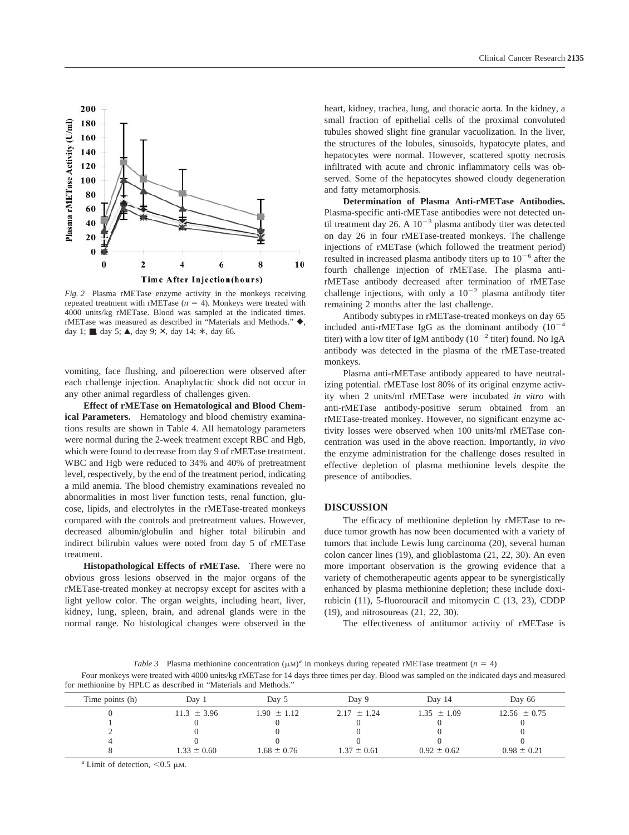

*Fig. 2* Plasma rMETase enzyme activity in the monkeys receiving repeated treatment with rMETase  $(n = 4)$ . Monkeys were treated with 4000 units/kg rMETase. Blood was sampled at the indicated times. rMETase was measured as described in "Materials and Methods."  $\blacklozenge$ , day 1;  $\blacksquare$ , day 5;  $\blacktriangle$ , day 9;  $\times$ , day 14;  $*\,$ , day 66.

vomiting, face flushing, and piloerection were observed after each challenge injection. Anaphylactic shock did not occur in any other animal regardless of challenges given.

**Effect of rMETase on Hematological and Blood Chemical Parameters.** Hematology and blood chemistry examinations results are shown in Table 4. All hematology parameters were normal during the 2-week treatment except RBC and Hgb, which were found to decrease from day 9 of rMETase treatment. WBC and Hgb were reduced to 34% and 40% of pretreatment level, respectively, by the end of the treatment period, indicating a mild anemia. The blood chemistry examinations revealed no abnormalities in most liver function tests, renal function, glucose, lipids, and electrolytes in the rMETase-treated monkeys compared with the controls and pretreatment values. However, decreased albumin/globulin and higher total bilirubin and indirect bilirubin values were noted from day 5 of rMETase treatment.

**Histopathological Effects of rMETase.** There were no obvious gross lesions observed in the major organs of the rMETase-treated monkey at necropsy except for ascites with a light yellow color. The organ weights, including heart, liver, kidney, lung, spleen, brain, and adrenal glands were in the normal range. No histological changes were observed in the heart, kidney, trachea, lung, and thoracic aorta. In the kidney, a small fraction of epithelial cells of the proximal convoluted tubules showed slight fine granular vacuolization. In the liver, the structures of the lobules, sinusoids, hypatocyte plates, and hepatocytes were normal. However, scattered spotty necrosis infiltrated with acute and chronic inflammatory cells was observed. Some of the hepatocytes showed cloudy degeneration and fatty metamorphosis.

**Determination of Plasma Anti-rMETase Antibodies.** Plasma-specific anti-rMETase antibodies were not detected until treatment day 26. A  $10^{-3}$  plasma antibody titer was detected on day 26 in four rMETase-treated monkeys. The challenge injections of rMETase (which followed the treatment period) resulted in increased plasma antibody titers up to  $10^{-6}$  after the fourth challenge injection of rMETase. The plasma antirMETase antibody decreased after termination of rMETase challenge injections, with only a  $10^{-2}$  plasma antibody titer remaining 2 months after the last challenge.

Antibody subtypes in rMETase-treated monkeys on day 65 included anti-rMETase IgG as the dominant antibody  $(10^{-4}$ titer) with a low titer of IgM antibody ( $10^{-2}$  titer) found. No IgA antibody was detected in the plasma of the rMETase-treated monkeys.

Plasma anti-rMETase antibody appeared to have neutralizing potential. rMETase lost 80% of its original enzyme activity when 2 units/ml rMETase were incubated *in vitro* with anti-rMETase antibody-positive serum obtained from an rMETase-treated monkey. However, no significant enzyme activity losses were observed when 100 units/ml rMETase concentration was used in the above reaction. Importantly, *in vivo* the enzyme administration for the challenge doses resulted in effective depletion of plasma methionine levels despite the presence of antibodies.

### **DISCUSSION**

The efficacy of methionine depletion by rMETase to reduce tumor growth has now been documented with a variety of tumors that include Lewis lung carcinoma (20), several human colon cancer lines (19), and glioblastoma (21, 22, 30). An even more important observation is the growing evidence that a variety of chemotherapeutic agents appear to be synergistically enhanced by plasma methionine depletion; these include doxirubicin (11), 5-fluorouracil and mitomycin C (13, 23), CDDP (19), and nitrosoureas (21, 22, 30).

The effectiveness of antitumor activity of rMETase is

*Table 3* Plasma methionine concentration  $(\mu M)^a$  in monkeys during repeated rMETase treatment (*n* = 4)

Four monkeys were treated with 4000 units/kg rMETase for 14 days three times per day. Blood was sampled on the indicated days and measured for methionine by HPLC as described in "Materials and Methods."

| Time points (h) | Dav 1           | Dav 5           | Day 9           | Day 14          | Day 66           |  |
|-----------------|-----------------|-----------------|-----------------|-----------------|------------------|--|
|                 | $11.3 \pm 3.96$ | $1.90 \pm 1.12$ | $2.17 \pm 1.24$ | $1.35 \pm 1.09$ | $12.56 \pm 0.75$ |  |
|                 |                 |                 |                 |                 |                  |  |
|                 |                 |                 |                 |                 |                  |  |
| $\Delta$        |                 |                 |                 |                 |                  |  |
|                 | $1.33 \pm 0.60$ | $1.68 \pm 0.76$ | $1.37 \pm 0.61$ | $0.92 \pm 0.62$ | $0.98 \pm 0.21$  |  |
|                 |                 |                 |                 |                 |                  |  |

 $a$  Limit of detection,  $< 0.5$   $\mu$ M.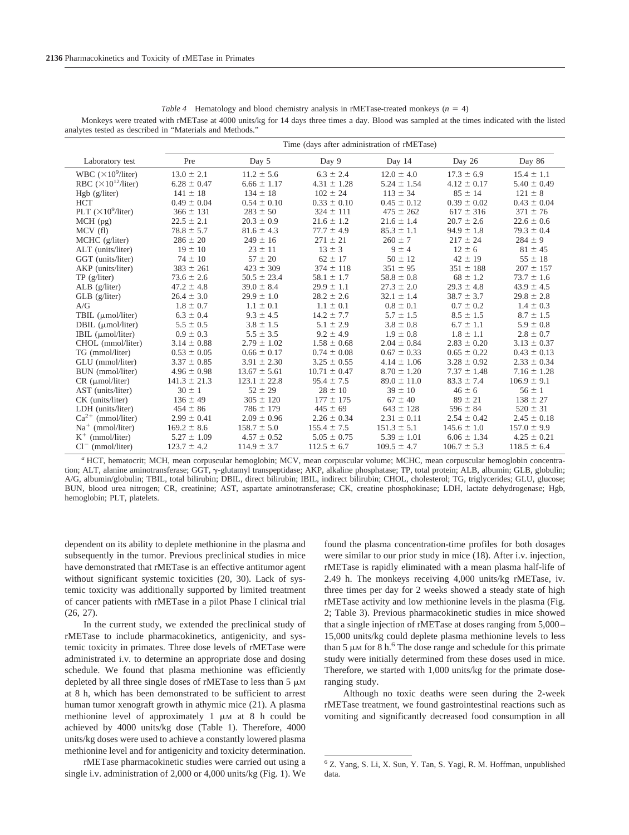|                               | Time (days after administration of rMETase) |                  |                  |                 |                 |                 |
|-------------------------------|---------------------------------------------|------------------|------------------|-----------------|-----------------|-----------------|
| Laboratory test               | Pre                                         | Day 5            | Day 9            | Day 14          | Day 26          | Day 86          |
| WBC $(\times 10^9$ /liter)    | $13.0 \pm 2.1$                              | $11.2 \pm 5.6$   | $6.3 \pm 2.4$    | $12.0 \pm 4.0$  | $17.3 \pm 6.9$  | $15.4 \pm 1.1$  |
| RBC $(\times 10^{12}/$ liter) | $6.28 \pm 0.47$                             | $6.66 \pm 1.17$  | $4.31 \pm 1.28$  | $5.24 \pm 1.54$ | $4.12 \pm 0.17$ | $5.40 \pm 0.49$ |
| Hgb (g/liter)                 | $141 \pm 18$                                | $134 \pm 18$     | $102 \pm 24$     | $113 \pm 34$    | $85 \pm 14$     | $121 \pm 8$     |
| <b>HCT</b>                    | $0.49 \pm 0.04$                             | $0.54 \pm 0.10$  | $0.33 \pm 0.10$  | $0.45 \pm 0.12$ | $0.39 \pm 0.02$ | $0.43 \pm 0.04$ |
| PLT $(\times 10^9$ /liter)    | $366 \pm 131$                               | $283 \pm 50$     | $324 \pm 111$    | $475 \pm 262$   | $617 \pm 316$   | $371 \pm 76$    |
| $MCH$ (pg)                    | $22.5 \pm 2.1$                              | $20.3 \pm 0.9$   | $21.6 \pm 1.2$   | $21.6 \pm 1.4$  | $20.7 \pm 2.6$  | $22.6 \pm 0.6$  |
| MCV(f)                        | $78.8 \pm 5.7$                              | $81.6 \pm 4.3$   | $77.7 \pm 4.9$   | $85.3 \pm 1.1$  | $94.9 \pm 1.8$  | $79.3 \pm 0.4$  |
| MCHC (g/liter)                | $286 \pm 20$                                | $249 \pm 16$     | $271 \pm 21$     | $260 \pm 7$     | $217 \pm 24$    | $284 \pm 9$     |
| ALT (units/liter)             | $19 \pm 10$                                 | $23 \pm 11$      | $13 \pm 3$       | $9 \pm 4$       | $12 \pm 6$      | $81 \pm 45$     |
| GGT (units/liter)             | $74 \pm 10$                                 | $57 \pm 20$      | $62 \pm 17$      | $50 \pm 12$     | $42 \pm 19$     | $55 \pm 18$     |
| AKP (units/liter)             | $383 \pm 261$                               | $423 \pm 309$    | $374 \pm 118$    | $351 \pm 95$    | $351 \pm 188$   | $207 \pm 157$   |
| $TP$ (g/liter)                | $73.6 \pm 2.6$                              | $50.5 \pm 23.4$  | $58.1 \pm 1.7$   | $58.8 \pm 0.8$  | $68 \pm 1.2$    | $73.7 \pm 1.6$  |
| $ALB$ (g/liter)               | $47.2 \pm 4.8$                              | $39.0 \pm 8.4$   | $29.9 \pm 1.1$   | $27.3 \pm 2.0$  | $29.3 \pm 4.8$  | $43.9 \pm 4.5$  |
| $GLB$ (g/liter)               | $26.4 \pm 3.0$                              | $29.9 \pm 1.0$   | $28.2 \pm 2.6$   | $32.1 \pm 1.4$  | $38.7 \pm 3.7$  | $29.8 \pm 2.8$  |
| A/G                           | $1.8 \pm 0.7$                               | $1.1 \pm 0.1$    | $1.1 \pm 0.1$    | $0.8 \pm 0.1$   | $0.7 \pm 0.2$   | $1.4 \pm 0.3$   |
| TBIL (µmol/liter)             | $6.3 \pm 0.4$                               | $9.3 \pm 4.5$    | $14.2 \pm 7.7$   | $5.7 \pm 1.5$   | $8.5 \pm 1.5$   | $8.7 \pm 1.5$   |
| DBIL $(\mu$ mol/liter)        | $5.5 \pm 0.5$                               | $3.8 \pm 1.5$    | $5.1 \pm 2.9$    | $3.8 \pm 0.8$   | $6.7 \pm 1.1$   | $5.9 \pm 0.8$   |
| IBIL $(\mu \text{mol/liter})$ | $0.9 \pm 0.3$                               | $5.5 \pm 3.5$    | $9.2 \pm 4.9$    | $1.9 \pm 0.8$   | $1.8 \pm 1.1$   | $2.8 \pm 0.7$   |
| CHOL (mmol/liter)             | $3.14 \pm 0.88$                             | $2.79 \pm 1.02$  | $1.58 \pm 0.68$  | $2.04 \pm 0.84$ | $2.83 \pm 0.20$ | $3.13 \pm 0.37$ |
| TG (mmol/liter)               | $0.53 \pm 0.05$                             | $0.66 \pm 0.17$  | $0.74 \pm 0.08$  | $0.67 \pm 0.33$ | $0.65 \pm 0.22$ | $0.43 \pm 0.13$ |
| GLU (mmol/liter)              | $3.37 \pm 0.85$                             | $3.91 \pm 2.30$  | $3.25 \pm 0.55$  | $4.14 \pm 1.06$ | $3.28 \pm 0.92$ | $2.33 \pm 0.34$ |
| BUN (mmol/liter)              | $4.96 \pm 0.98$                             | $13.67 \pm 5.61$ | $10.71 \pm 0.47$ | $8.70 \pm 1.20$ | $7.37 \pm 1.48$ | $7.16 \pm 1.28$ |
| $CR$ ( $\mu$ mol/liter)       | $141.3 \pm 21.3$                            | $123.1 \pm 22.8$ | $95.4 \pm 7.5$   | $89.0 \pm 11.0$ | $83.3 \pm 7.4$  | $106.9 \pm 9.1$ |
| AST (units/liter)             | $30 \pm 1$                                  | $52 \pm 29$      | $28 \pm 10$      | $39 \pm 10$     | $46 \pm 6$      | $56 \pm 1$      |
| CK (units/liter)              | $136 \pm 49$                                | $305 \pm 120$    | $177 \pm 175$    | $67 \pm 40$     | $89 \pm 21$     | $138 \pm 27$    |
| LDH (units/liter)             | $454 \pm 86$                                | $786 \pm 179$    | $445 \pm 69$     | $643 \pm 128$   | $596 \pm 84$    | $520 \pm 31$    |
| $Ca^{2+}$ (mmol/liter)        | $2.99 \pm 0.41$                             | $2.09 \pm 0.96$  | $2.26 \pm 0.34$  | $2.31 \pm 0.11$ | $2.54 \pm 0.42$ | $2.45 \pm 0.18$ |
| $Na+$ (mmol/liter)            | $169.2 \pm 8.6$                             | $158.7 \pm 5.0$  | $155.4 \pm 7.5$  | $151.3 \pm 5.1$ | $145.6 \pm 1.0$ | $157.0 \pm 9.9$ |
| $K^+$ (mmol/liter)            | $5.27 \pm 1.09$                             | $4.57 \pm 0.52$  | $5.05 \pm 0.75$  | $5.39 \pm 1.01$ | $6.06 \pm 1.34$ | $4.25 \pm 0.21$ |
| $Cl^{-}$ (mmol/liter)         | $123.7 \pm 4.2$                             | $114.9 \pm 3.7$  | $112.5 \pm 6.7$  | $109.5 \pm 4.7$ | $106.7 \pm 5.3$ | $118.5 \pm 6.4$ |

*Table 4* Hematology and blood chemistry analysis in rMETase-treated monkeys  $(n = 4)$ Monkeys were treated with rMETase at 4000 units/kg for 14 days three times a day. Blood was sampled at the times indicated with the listed analytes tested as described in "Materials and Methods."

*<sup>a</sup>* HCT, hematocrit; MCH, mean corpuscular hemoglobin; MCV, mean corpuscular volume; MCHC, mean corpuscular hemoglobin concentration; ALT, alanine aminotransferase; GGT,  $\gamma$ -glutamyl transpeptidase; AKP, alkaline phosphatase; TP, total protein; ALB, albumin; GLB, globulin; A/G, albumin/globulin; TBIL, total bilirubin; DBIL, direct bilirubin; IBIL, indirect bilirubin; CHOL, cholesterol; TG, triglycerides; GLU, glucose; BUN, blood urea nitrogen; CR, creatinine; AST, aspartate aminotransferase; CK, creatine phosphokinase; LDH, lactate dehydrogenase; Hgb, hemoglobin; PLT, platelets.

dependent on its ability to deplete methionine in the plasma and subsequently in the tumor. Previous preclinical studies in mice have demonstrated that rMETase is an effective antitumor agent without significant systemic toxicities (20, 30). Lack of systemic toxicity was additionally supported by limited treatment of cancer patients with rMETase in a pilot Phase I clinical trial (26, 27).

In the current study, we extended the preclinical study of rMETase to include pharmacokinetics, antigenicity, and systemic toxicity in primates. Three dose levels of rMETase were administrated i.v. to determine an appropriate dose and dosing schedule. We found that plasma methionine was efficiently depleted by all three single doses of rMETase to less than  $5 \mu M$ at 8 h, which has been demonstrated to be sufficient to arrest human tumor xenograft growth in athymic mice (21). A plasma methionine level of approximately 1  $\mu$ M at 8 h could be achieved by 4000 units/kg dose (Table 1). Therefore, 4000 units/kg doses were used to achieve a constantly lowered plasma methionine level and for antigenicity and toxicity determination.

rMETase pharmacokinetic studies were carried out using a single i.v. administration of 2,000 or 4,000 units/kg (Fig. 1). We

found the plasma concentration-time profiles for both dosages were similar to our prior study in mice (18). After i.v. injection, rMETase is rapidly eliminated with a mean plasma half-life of 2.49 h. The monkeys receiving 4,000 units/kg rMETase, iv. three times per day for 2 weeks showed a steady state of high rMETase activity and low methionine levels in the plasma (Fig. 2; Table 3). Previous pharmacokinetic studies in mice showed that a single injection of rMETase at doses ranging from 5,000– 15,000 units/kg could deplete plasma methionine levels to less than 5  $\mu$ M for 8 h.<sup>6</sup> The dose range and schedule for this primate study were initially determined from these doses used in mice. Therefore, we started with 1,000 units/kg for the primate doseranging study.

Although no toxic deaths were seen during the 2-week rMETase treatment, we found gastrointestinal reactions such as vomiting and significantly decreased food consumption in all

<sup>6</sup> Z. Yang, S. Li, X. Sun, Y. Tan, S. Yagi, R. M. Hoffman, unpublished data.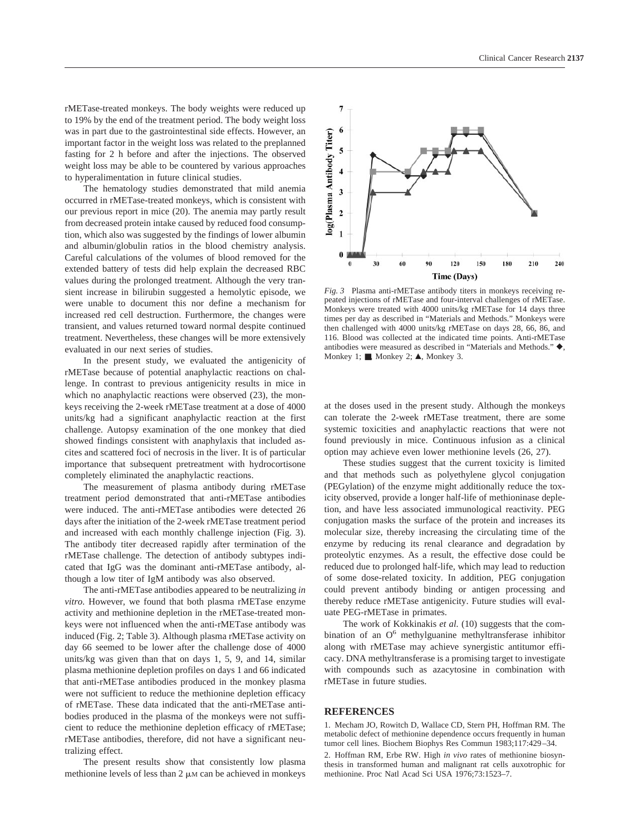rMETase-treated monkeys. The body weights were reduced up to 19% by the end of the treatment period. The body weight loss was in part due to the gastrointestinal side effects. However, an important factor in the weight loss was related to the preplanned fasting for 2 h before and after the injections. The observed weight loss may be able to be countered by various approaches to hyperalimentation in future clinical studies.

The hematology studies demonstrated that mild anemia occurred in rMETase-treated monkeys, which is consistent with our previous report in mice (20). The anemia may partly result from decreased protein intake caused by reduced food consumption, which also was suggested by the findings of lower albumin and albumin/globulin ratios in the blood chemistry analysis. Careful calculations of the volumes of blood removed for the extended battery of tests did help explain the decreased RBC values during the prolonged treatment. Although the very transient increase in bilirubin suggested a hemolytic episode, we were unable to document this nor define a mechanism for increased red cell destruction. Furthermore, the changes were transient, and values returned toward normal despite continued treatment. Nevertheless, these changes will be more extensively evaluated in our next series of studies.

In the present study, we evaluated the antigenicity of rMETase because of potential anaphylactic reactions on challenge. In contrast to previous antigenicity results in mice in which no anaphylactic reactions were observed (23), the monkeys receiving the 2-week rMETase treatment at a dose of 4000 units/kg had a significant anaphylactic reaction at the first challenge. Autopsy examination of the one monkey that died showed findings consistent with anaphylaxis that included ascites and scattered foci of necrosis in the liver. It is of particular importance that subsequent pretreatment with hydrocortisone completely eliminated the anaphylactic reactions.

The measurement of plasma antibody during rMETase treatment period demonstrated that anti-rMETase antibodies were induced. The anti-rMETase antibodies were detected 26 days after the initiation of the 2-week rMETase treatment period and increased with each monthly challenge injection (Fig. 3). The antibody titer decreased rapidly after termination of the rMETase challenge. The detection of antibody subtypes indicated that IgG was the dominant anti-rMETase antibody, although a low titer of IgM antibody was also observed.

The anti-rMETase antibodies appeared to be neutralizing *in vitro*. However, we found that both plasma rMETase enzyme activity and methionine depletion in the rMETase-treated monkeys were not influenced when the anti-rMETase antibody was induced (Fig. 2; Table 3). Although plasma rMETase activity on day 66 seemed to be lower after the challenge dose of 4000 units/kg was given than that on days 1, 5, 9, and 14, similar plasma methionine depletion profiles on days 1 and 66 indicated that anti-rMETase antibodies produced in the monkey plasma were not sufficient to reduce the methionine depletion efficacy of rMETase. These data indicated that the anti-rMETase antibodies produced in the plasma of the monkeys were not sufficient to reduce the methionine depletion efficacy of rMETase; rMETase antibodies, therefore, did not have a significant neutralizing effect.

The present results show that consistently low plasma methionine levels of less than  $2 \mu M$  can be achieved in monkeys



*Fig. 3* Plasma anti-rMETase antibody titers in monkeys receiving repeated injections of rMETase and four-interval challenges of rMETase. Monkeys were treated with 4000 units/kg rMETase for 14 days three times per day as described in "Materials and Methods." Monkeys were then challenged with 4000 units/kg rMETase on days 28, 66, 86, and 116. Blood was collected at the indicated time points. Anti-rMETase antibodies were measured as described in "Materials and Methods." $\blacklozenge$ , Monkey 1;  $\blacksquare$ , Monkey 2;  $\blacktriangle$ , Monkey 3.

at the doses used in the present study. Although the monkeys can tolerate the 2-week rMETase treatment, there are some systemic toxicities and anaphylactic reactions that were not found previously in mice. Continuous infusion as a clinical option may achieve even lower methionine levels (26, 27).

These studies suggest that the current toxicity is limited and that methods such as polyethylene glycol conjugation (PEGylation) of the enzyme might additionally reduce the toxicity observed, provide a longer half-life of methioninase depletion, and have less associated immunological reactivity. PEG conjugation masks the surface of the protein and increases its molecular size, thereby increasing the circulating time of the enzyme by reducing its renal clearance and degradation by proteolytic enzymes. As a result, the effective dose could be reduced due to prolonged half-life, which may lead to reduction of some dose-related toxicity. In addition, PEG conjugation could prevent antibody binding or antigen processing and thereby reduce rMETase antigenicity. Future studies will evaluate PEG-rMETase in primates.

The work of Kokkinakis *et al.* (10) suggests that the combination of an  $O<sup>6</sup>$  methylguanine methyltransferase inhibitor along with rMETase may achieve synergistic antitumor efficacy. DNA methyltransferase is a promising target to investigate with compounds such as azacytosine in combination with rMETase in future studies.

#### **REFERENCES**

1. Mecham JO, Rowitch D, Wallace CD, Stern PH, Hoffman RM. The metabolic defect of methionine dependence occurs frequently in human tumor cell lines. Biochem Biophys Res Commun 1983;117:429–34.

2. Hoffman RM, Erbe RW. High *in vivo* rates of methionine biosynthesis in transformed human and malignant rat cells auxotrophic for methionine. Proc Natl Acad Sci USA 1976;73:1523–7.